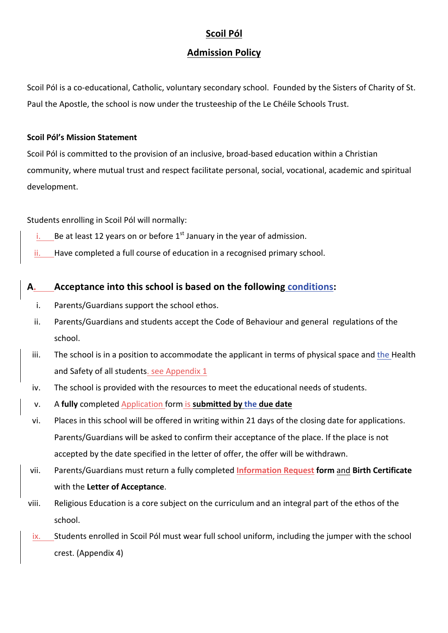# **Scoil Pól**

## **Admission Policy**

Scoil Pól is a co-educational, Catholic, voluntary secondary school. Founded by the Sisters of Charity of St. Paul the Apostle, the school is now under the trusteeship of the Le Chéile Schools Trust.

### **Scoil Pól's Mission Statement**

Scoil Pól is committed to the provision of an inclusive, broad-based education within a Christian community, where mutual trust and respect facilitate personal, social, vocational, academic and spiritual development.

Students enrolling in Scoil Pól will normally:

- i. Be at least 12 years on or before  $1<sup>st</sup>$  January in the year of admission.
- ii. Have completed a full course of education in a recognised primary school.

# A. Acceptance into this school is based on the following **conditions:**

- i. Parents/Guardians support the school ethos.
- ii. Parents/Guardians and students accept the Code of Behaviour and general regulations of the school.
- iii. The school is in a position to accommodate the applicant in terms of physical space and the Health and Safety of all students. see Appendix 1
- iv. The school is provided with the resources to meet the educational needs of students.
- v. A fully completed Application form is submitted by the due date
- vi. Places in this school will be offered in writing within 21 days of the closing date for applications. Parents/Guardians will be asked to confirm their acceptance of the place. If the place is not accepted by the date specified in the letter of offer, the offer will be withdrawn.
- vii. Parents/Guardians must return a fully completed **Information Request form** and **Birth Certificate** with the Letter of Acceptance.
- viii. Religious Education is a core subject on the curriculum and an integral part of the ethos of the school.
- ix. Students enrolled in Scoil Pól must wear full school uniform, including the jumper with the school crest. (Appendix 4)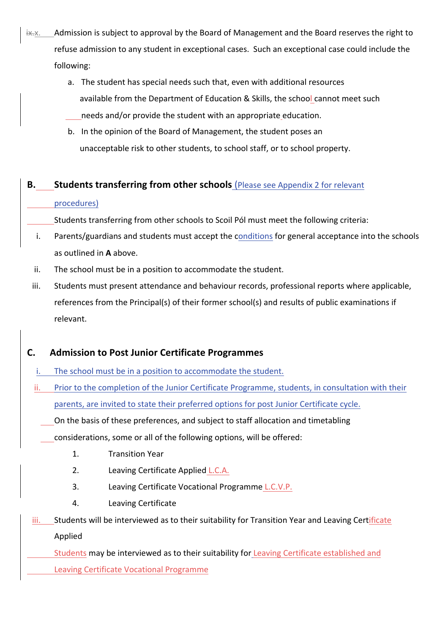- ix-x. Admission is subject to approval by the Board of Management and the Board reserves the right to refuse admission to any student in exceptional cases. Such an exceptional case could include the following:
	- a. The student has special needs such that, even with additional resources available from the Department of Education & Skills, the school cannot meet such needs and/or provide the student with an appropriate education.
	- b. In the opinion of the Board of Management, the student poses an unacceptable risk to other students, to school staff, or to school property.

# **B.** Students transferring from other schools (Please see Appendix 2 for relevant

## procedures)

Students transferring from other schools to Scoil Pól must meet the following criteria:

- i. Parents/guardians and students must accept the conditions for general acceptance into the schools as outlined in **A** above.
- ii. The school must be in a position to accommodate the student.
- iii. Students must present attendance and behaviour records, professional reports where applicable, references from the Principal(s) of their former school(s) and results of public examinations if relevant.

# **C. Admission to Post Junior Certificate Programmes**

- i. The school must be in a position to accommodate the student.
- ii. Prior to the completion of the Junior Certificate Programme, students, in consultation with their parents, are invited to state their preferred options for post Junior Certificate cycle.
	- On the basis of these preferences, and subject to staff allocation and timetabling
	- considerations, some or all of the following options, will be offered:
		- 1. Transition Year
		- 2. Leaving Certificate Applied L.C.A.
		- 3. Leaving Certificate Vocational Programme L.C.V.P.
		- 4. Leaving Certificate
- iii. Students will be interviewed as to their suitability for Transition Year and Leaving Certificate Applied

Students may be interviewed as to their suitability for Leaving Certificate established and Leaving Certificate Vocational Programme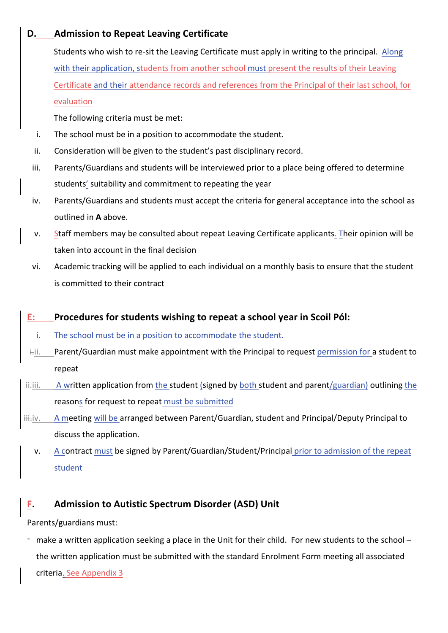# **D.** Admission to Repeat Leaving Certificate

Students who wish to re-sit the Leaving Certificate must apply in writing to the principal. Along with their application, students from another school must present the results of their Leaving Certificate and their attendance records and references from the Principal of their last school, for evaluation 

The following criteria must be met:

- i. The school must be in a position to accommodate the student.
- ii. Consideration will be given to the student's past disciplinary record.
- iii. Parents/Guardians and students will be interviewed prior to a place being offered to determine students' suitability and commitment to repeating the year
- iv. Parents/Guardians and students must accept the criteria for general acceptance into the school as outlined in A above.
- v. Staff members may be consulted about repeat Leaving Certificate applicants. Their opinion will be taken into account in the final decision
- vi. Academic tracking will be applied to each individual on a monthly basis to ensure that the student is committed to their contract

# **E:** Procedures for students wishing to repeat a school year in Scoil Pól:

i. The school must be in a position to accommodate the student.

- i.ii. Parent/Guardian must make appointment with the Principal to request permission for a student to repeat
- i.iii. A written application from the student (signed by both student and parent/guardian) outlining the reasons for request to repeat must be submitted
- iii.iv. A meeting will be arranged between Parent/Guardian, student and Principal/Deputy Principal to discuss the application.
	- v. A contract must be signed by Parent/Guardian/Student/Principal prior to admission of the repeat student

# **F. Admission to Autistic Spectrum Disorder (ASD) Unit**

Parents/guardians must:

- make a written application seeking a place in the Unit for their child. For new students to the school – the written application must be submitted with the standard Enrolment Form meeting all associated

criteria. See Appendix 3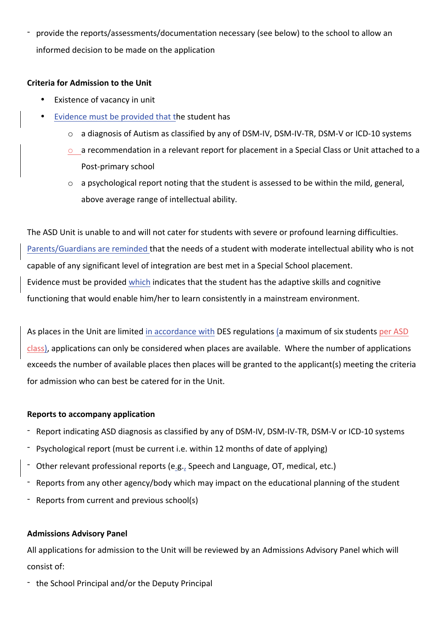- provide the reports/assessments/documentation necessary (see below) to the school to allow an informed decision to be made on the application

### **Criteria for Admission to the Unit**

- Existence of vacancy in unit
- Evidence must be provided that the student has
	- o a diagnosis of Autism as classified by any of DSM-IV, DSM-IV-TR, DSM-V or ICD-10 systems
	- $\circ$  a recommendation in a relevant report for placement in a Special Class or Unit attached to a Post-primary school
	- $\circ$  a psychological report noting that the student is assessed to be within the mild, general, above average range of intellectual ability.

The ASD Unit is unable to and will not cater for students with severe or profound learning difficulties. Parents/Guardians are reminded that the needs of a student with moderate intellectual ability who is not capable of any significant level of integration are best met in a Special School placement. Evidence must be provided which indicates that the student has the adaptive skills and cognitive functioning that would enable him/her to learn consistently in a mainstream environment.

As places in the Unit are limited in accordance with DES regulations (a maximum of six students per ASD class), applications can only be considered when places are available. Where the number of applications exceeds the number of available places then places will be granted to the applicant(s) meeting the criteria for admission who can best be catered for in the Unit.

## **Reports to accompany application**

- Report indicating ASD diagnosis as classified by any of DSM-IV, DSM-IV-TR, DSM-V or ICD-10 systems
- Psychological report (must be current i.e. within 12 months of date of applying)
- Other relevant professional reports (e.g., Speech and Language, OT, medical, etc.)
- Reports from any other agency/body which may impact on the educational planning of the student
- Reports from current and previous school(s)

## **Admissions Advisory Panel**

All applications for admission to the Unit will be reviewed by an Admissions Advisory Panel which will consist of:

- the School Principal and/or the Deputy Principal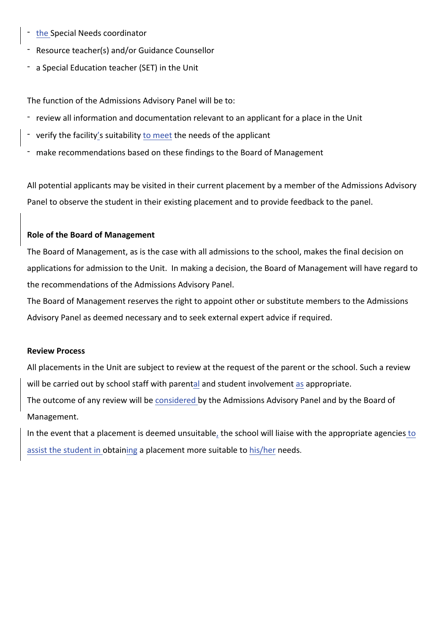- the Special Needs coordinator
- Resource teacher(s) and/or Guidance Counsellor
- a Special Education teacher (SET) in the Unit

The function of the Admissions Advisory Panel will be to:

- review all information and documentation relevant to an applicant for a place in the Unit
- verify the facility's suitability to meet the needs of the applicant
- make recommendations based on these findings to the Board of Management

All potential applicants may be visited in their current placement by a member of the Admissions Advisory Panel to observe the student in their existing placement and to provide feedback to the panel.

#### **Role of the Board of Management**

The Board of Management, as is the case with all admissions to the school, makes the final decision on applications for admission to the Unit. In making a decision, the Board of Management will have regard to the recommendations of the Admissions Advisory Panel.

The Board of Management reserves the right to appoint other or substitute members to the Admissions Advisory Panel as deemed necessary and to seek external expert advice if required.

#### **Review Process**

All placements in the Unit are subject to review at the request of the parent or the school. Such a review will be carried out by school staff with parental and student involvement as appropriate.

The outcome of any review will be considered by the Admissions Advisory Panel and by the Board of Management.

In the event that a placement is deemed unsuitable, the school will liaise with the appropriate agencies to assist the student in obtaining a placement more suitable to his/her needs.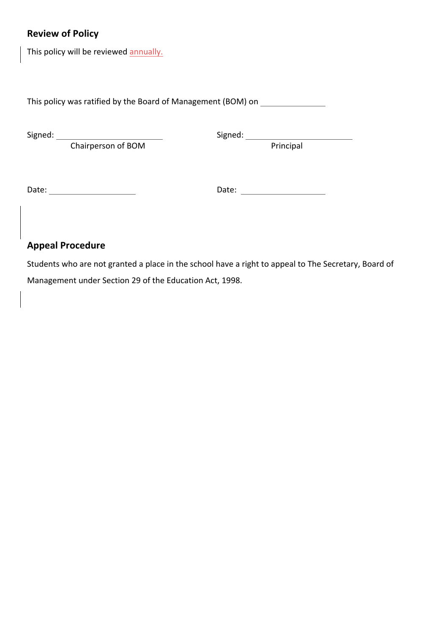# **Review of Policy**

This policy will be reviewed annually.

This policy was ratified by the Board of Management (BOM) on \_\_\_\_\_\_\_\_\_\_\_\_\_\_\_\_\_\_\_

Chairperson of BOM **Principal** Principal

Signed: Signed: Signed: Signed: Signed: Signed: Signed: Signed: Signed: Signed: Signed: Signed: Signed: Signed: Signed: Signed: Signed: Signed: Signed: Signed: Signed: Signed: Signed: Signed: Signed: Signed: Signed: Signed

Date: Date: 

# **Appeal Procedure**

Students who are not granted a place in the school have a right to appeal to The Secretary, Board of Management under Section 29 of the Education Act, 1998.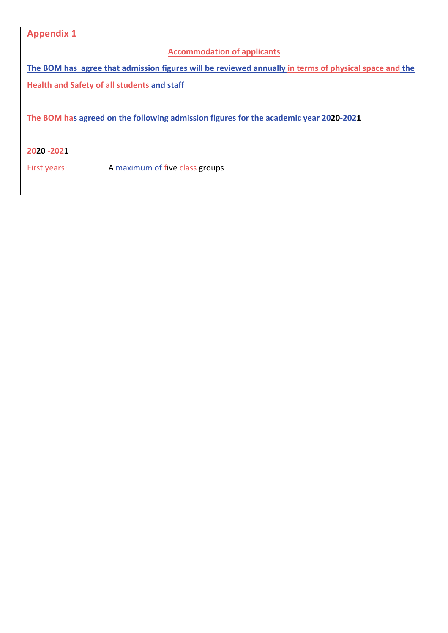**Appendix 1** 

## **Accommodation of applicants**

The BOM has agree that admission figures will be reviewed annually in terms of physical space and the **Health and Safety of all students and staff** 

The BOM has agreed on the following admission figures for the academic year 2020-2021

## **2020 -2021**

First years: A maximum of five class groups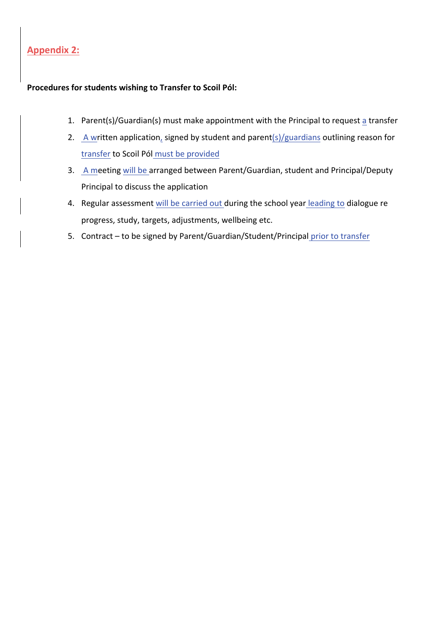## **Appendix 2:**

## **Procedures for students wishing to Transfer to Scoil Pól:**

- 1. Parent(s)/Guardian(s) must make appointment with the Principal to request a transfer
- 2. A written application, signed by student and parent(s)/guardians outlining reason for transfer to Scoil Pól must be provided
- 3. A meeting will be arranged between Parent/Guardian, student and Principal/Deputy Principal to discuss the application
- 4. Regular assessment will be carried out during the school year leading to dialogue re progress, study, targets, adjustments, wellbeing etc.
- 5. Contract to be signed by Parent/Guardian/Student/Principal prior to transfer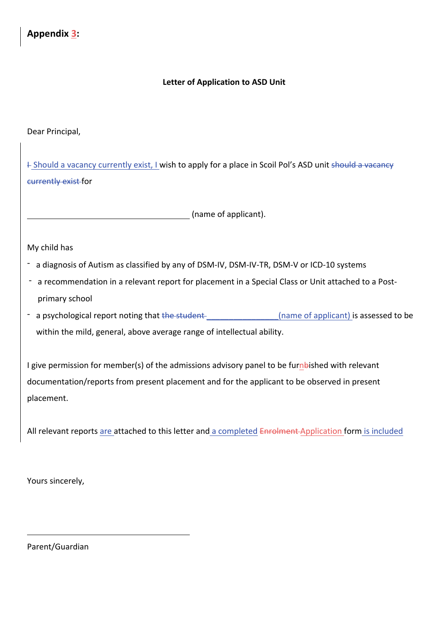## **Letter of Application to ASD Unit**

Dear Principal,

 $+$  Should a vacancy currently exist, I wish to apply for a place in Scoil Pol's ASD unit should a vacancy currently exist for

(name of applicant).

My child has

- a diagnosis of Autism as classified by any of DSM-IV, DSM-IV-TR, DSM-V or ICD-10 systems
- a recommendation in a relevant report for placement in a Special Class or Unit attached to a Postprimary school
- a psychological report noting that the student and the student and the manner of applicant) is assessed to be within the mild, general, above average range of intellectual ability.

I give permission for member(s) of the admissions advisory panel to be furnbished with relevant documentation/reports from present placement and for the applicant to be observed in present placement.

All relevant reports are attached to this letter and a completed Enrolment Application form is included

Yours sincerely,

Parent/Guardian